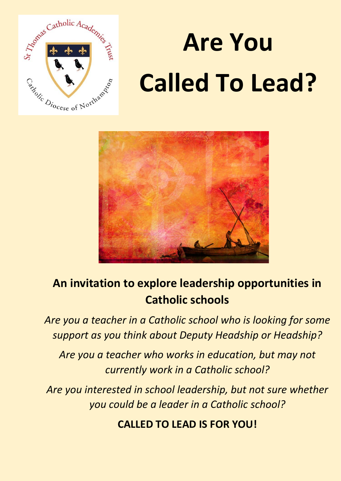

# **Are You Called To Lead?**



## **An invitation to explore leadership opportunities in Catholic schools**

*Are you a teacher in a Catholic school who is looking for some support as you think about Deputy Headship or Headship?*

*Are you a teacher who works in education, but may not currently work in a Catholic school?*

*Are you interested in school leadership, but not sure whether you could be a leader in a Catholic school?*

**CALLED TO LEAD IS FOR YOU!**